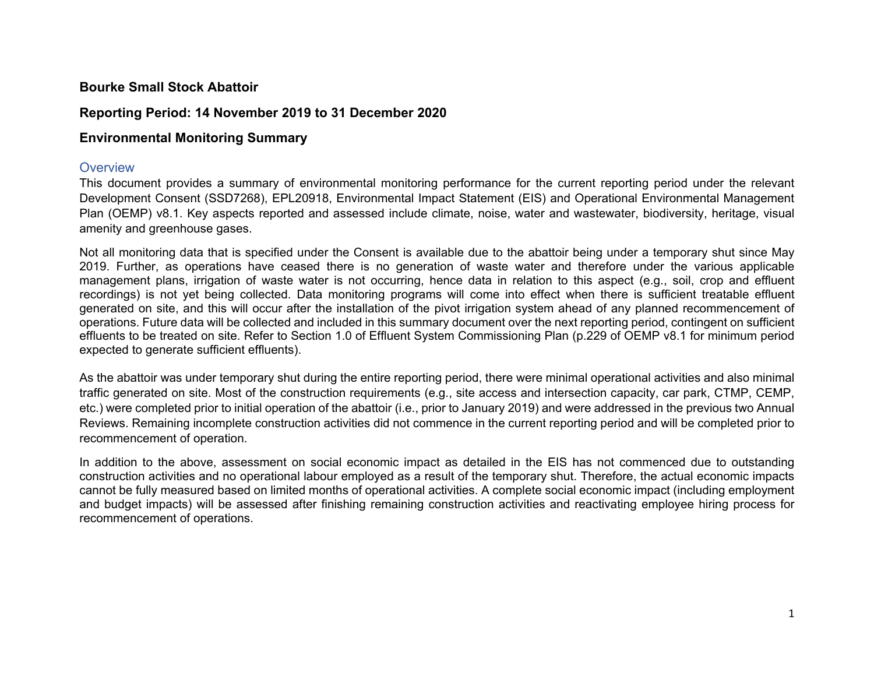# **Bourke Small Stock Abattoir**

## **Reporting Period: 14 November 2019 to 31 December 2020**

# **Environmental Monitoring Summary**

#### **Overview**

This document provides a summary of environmental monitoring performance for the current reporting period under the relevant Development Consent (SSD7268), EPL20918, Environmental Impact Statement (EIS) and Operational Environmental Management Plan (OEMP) v8.1. Key aspects reported and assessed include climate, noise, water and wastewater, biodiversity, heritage, visual amenity and greenhouse gases.

Not all monitoring data that is specified under the Consent is available due to the abattoir being under a temporary shut since May 2019. Further, as operations have ceased there is no generation of waste water and therefore under the various applicable management plans, irrigation of waste water is not occurring, hence data in relation to this aspect (e.g., soil, crop and effluent recordings) is not yet being collected. Data monitoring programs will come into effect when there is sufficient treatable effluent generated on site, and this will occur after the installation of the pivot irrigation system ahead of any planned recommencement of operations. Future data will be collected and included in this summary document over the next reporting period, contingent on sufficient effluents to be treated on site. Refer to Section 1.0 of Effluent System Commissioning Plan (p.229 of OEMP v8.1 for minimum period expected to generate sufficient effluents).

As the abattoir was under temporary shut during the entire reporting period, there were minimal operational activities and also minimal traffic generated on site. Most of the construction requirements (e.g., site access and intersection capacity, car park, CTMP, CEMP, etc.) were completed prior to initial operation of the abattoir (i.e., prior to January 2019) and were addressed in the previous two Annual Reviews. Remaining incomplete construction activities did not commence in the current reporting period and will be completed prior to recommencement of operation.

In addition to the above, assessment on social economic impact as detailed in the EIS has not commenced due to outstanding construction activities and no operational labour employed as a result of the temporary shut. Therefore, the actual economic impacts cannot be fully measured based on limited months of operational activities. A complete social economic impact (including employment and budget impacts) will be assessed after finishing remaining construction activities and reactivating employee hiring process for recommencement of operations.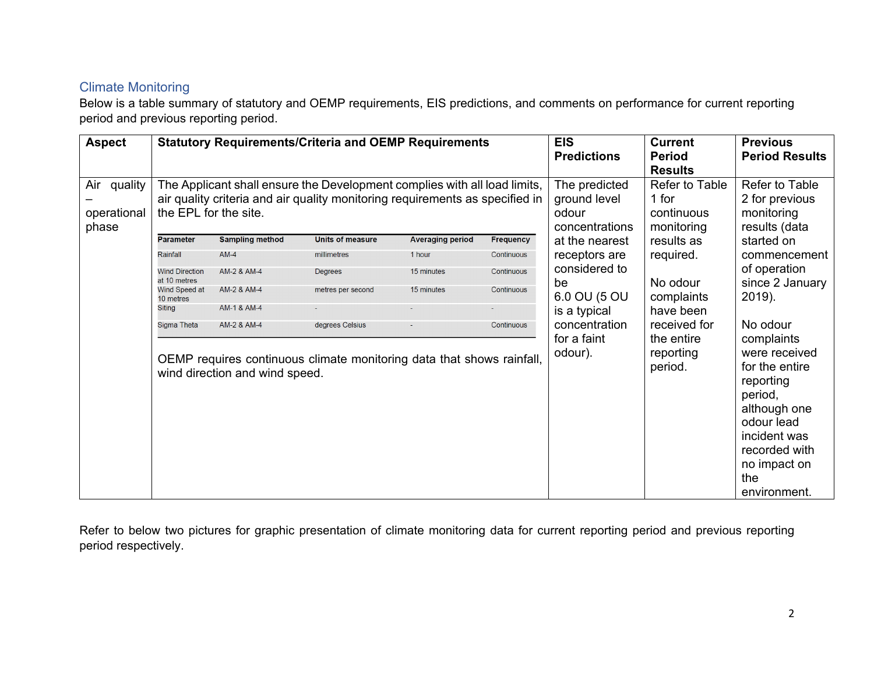# Climate Monitoring

Below is a table summary of statutory and OEMP requirements, EIS predictions, and comments on performance for current reporting period and previous reporting period.

| <b>Aspect</b>                          | <b>Statutory Requirements/Criteria and OEMP Requirements</b>                                                                                                                       |                                               |                                                                                          | <b>EIS</b><br><b>Predictions</b>                                  | <b>Current</b><br><b>Period</b><br><b>Results</b> | <b>Previous</b><br><b>Period Results</b>                        |                                                    |                                                                                                                                                                                         |
|----------------------------------------|------------------------------------------------------------------------------------------------------------------------------------------------------------------------------------|-----------------------------------------------|------------------------------------------------------------------------------------------|-------------------------------------------------------------------|---------------------------------------------------|-----------------------------------------------------------------|----------------------------------------------------|-----------------------------------------------------------------------------------------------------------------------------------------------------------------------------------------|
| Air<br>quality<br>operational<br>phase | The Applicant shall ensure the Development complies with all load limits,<br>air quality criteria and air quality monitoring requirements as specified in<br>the EPL for the site. |                                               |                                                                                          | The predicted<br>ground level<br>1 for<br>odour<br>concentrations | Refer to Table<br>continuous<br>monitoring        | Refer to Table<br>2 for previous<br>monitoring<br>results (data |                                                    |                                                                                                                                                                                         |
|                                        | <b>Parameter</b>                                                                                                                                                                   | <b>Sampling method</b>                        | <b>Units of measure</b>                                                                  | <b>Averaging period</b>                                           | Frequency                                         | at the nearest                                                  | results as                                         | started on                                                                                                                                                                              |
|                                        | Rainfall                                                                                                                                                                           | $AM-4$                                        | millimetres                                                                              | 1 hour                                                            | Continuous                                        | receptors are                                                   | required.                                          | commencement                                                                                                                                                                            |
|                                        | <b>Wind Direction</b>                                                                                                                                                              | AM-2 & AM-4                                   | Degrees                                                                                  | 15 minutes                                                        | Continuous                                        | considered to                                                   |                                                    | of operation                                                                                                                                                                            |
|                                        | at 10 metres<br>Wind Speed at<br>10 metres                                                                                                                                         | AM-2 & AM-4                                   | metres per second                                                                        | 15 minutes                                                        | Continuous                                        | be<br>6.0 OU (5 OU                                              | No odour<br>complaints                             | since 2 January<br>2019).                                                                                                                                                               |
|                                        | Siting                                                                                                                                                                             | AM-1 & AM-4                                   |                                                                                          |                                                                   |                                                   | is a typical                                                    | have been                                          |                                                                                                                                                                                         |
|                                        | Sigma Theta                                                                                                                                                                        | AM-2 & AM-4<br>wind direction and wind speed. | degrees Celsius<br>OEMP requires continuous climate monitoring data that shows rainfall, |                                                                   | Continuous                                        | concentration<br>for a faint<br>odour).                         | received for<br>the entire<br>reporting<br>period. | No odour<br>complaints<br>were received<br>for the entire<br>reporting<br>period,<br>although one<br>odour lead<br>incident was<br>recorded with<br>no impact on<br>the<br>environment. |

Refer to below two pictures for graphic presentation of climate monitoring data for current reporting period and previous reporting period respectively.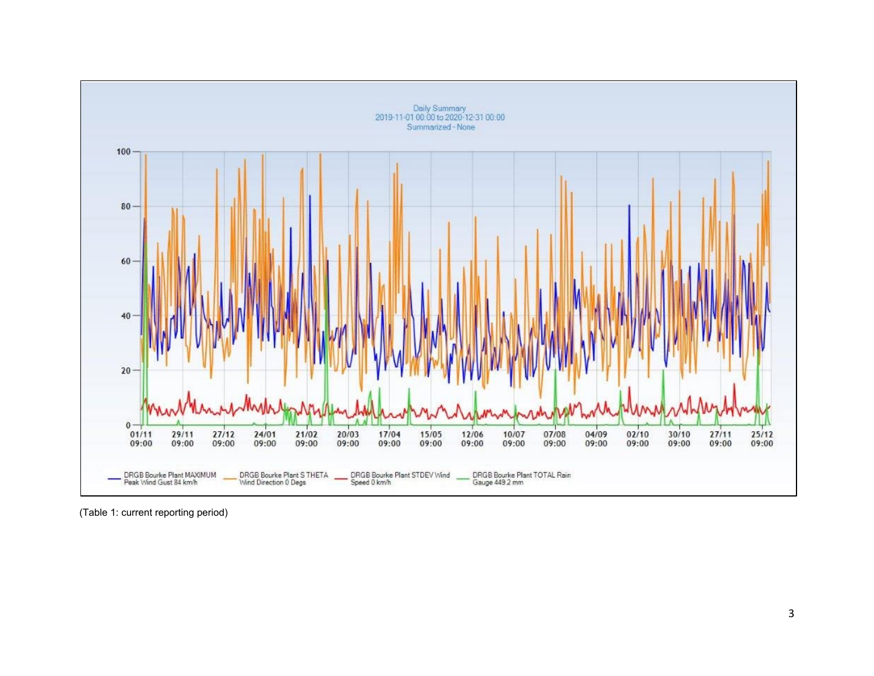

(Table 1: current reporting period)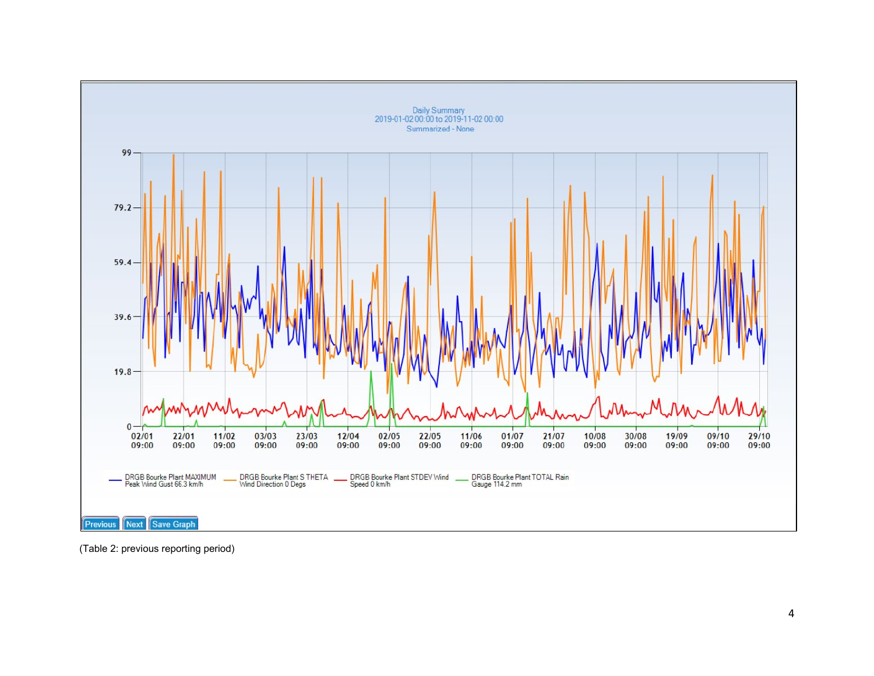

(Table 2: previous reporting period )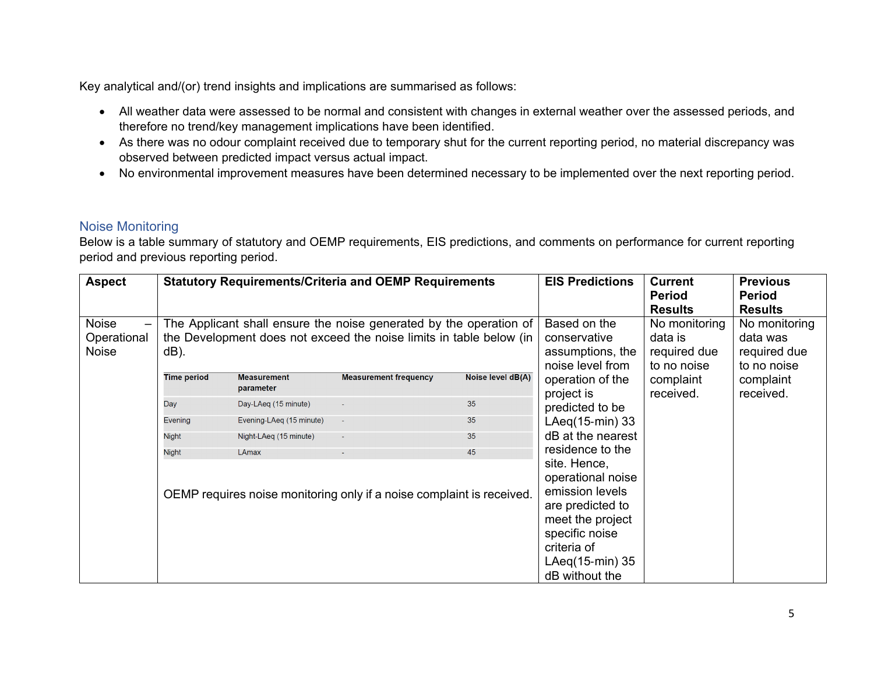- All weather data were assessed to be normal and consistent with changes in external weather over the assessed periods, and therefore no trend/key management implications have been identified.
- As there was no odour complaint received due to temporary shut for the current reporting period, no material discrepancy was observed between predicted impact versus actual impact.
- No environmental improvement measures have been determined necessary to be implemented over the next reporting period.

# Noise Monitoring

| <b>Aspect</b>                               |                                                                                                                                                   |                                 | <b>Statutory Requirements/Criteria and OEMP Requirements</b> |                                                                                                                                                                    | <b>EIS Predictions</b>                                  | <b>Current</b><br><b>Period</b><br><b>Results</b>        | <b>Previous</b><br>Period<br><b>Results</b> |
|---------------------------------------------|---------------------------------------------------------------------------------------------------------------------------------------------------|---------------------------------|--------------------------------------------------------------|--------------------------------------------------------------------------------------------------------------------------------------------------------------------|---------------------------------------------------------|----------------------------------------------------------|---------------------------------------------|
| <b>Noise</b><br>Operational<br><b>Noise</b> | The Applicant shall ensure the noise generated by the operation of<br>the Development does not exceed the noise limits in table below (in<br>dB). |                                 |                                                              | Based on the<br>conservative<br>assumptions, the<br>noise level from                                                                                               | No monitoring<br>data is<br>required due<br>to no noise | No monitoring<br>data was<br>required due<br>to no noise |                                             |
|                                             | <b>Time period</b>                                                                                                                                | <b>Measurement</b><br>parameter | <b>Measurement frequency</b>                                 | Noise level dB(A)                                                                                                                                                  | operation of the<br>project is                          | complaint<br>received.                                   | complaint<br>received.                      |
|                                             | Day                                                                                                                                               | Day-LAeq (15 minute)            |                                                              | 35                                                                                                                                                                 | predicted to be                                         |                                                          |                                             |
|                                             | Evening                                                                                                                                           | Evening-LAeq (15 minute)        | $\sim$                                                       | 35                                                                                                                                                                 | LAeq(15-min) 33                                         |                                                          |                                             |
|                                             | <b>Night</b>                                                                                                                                      | Night-LAeg (15 minute)          | $\sim$                                                       | 35                                                                                                                                                                 | dB at the nearest                                       |                                                          |                                             |
|                                             | <b>Night</b>                                                                                                                                      | <b>LAmax</b>                    | $\sim$                                                       | 45                                                                                                                                                                 | residence to the                                        |                                                          |                                             |
|                                             | OEMP requires noise monitoring only if a noise complaint is received.                                                                             |                                 |                                                              | site. Hence,<br>operational noise<br>emission levels<br>are predicted to<br>meet the project<br>specific noise<br>criteria of<br>LAeq(15-min) 35<br>dB without the |                                                         |                                                          |                                             |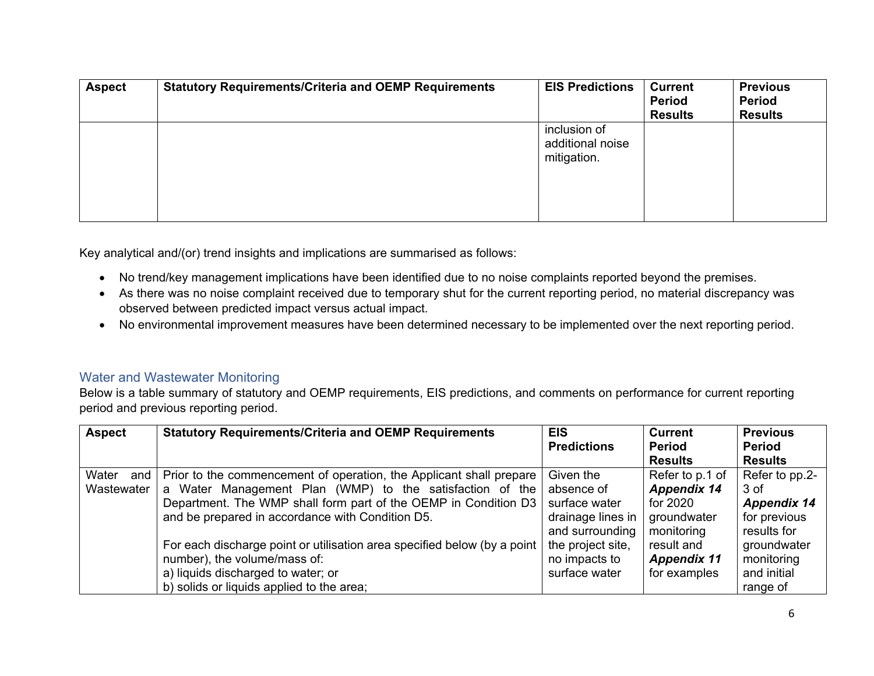| <b>Aspect</b> | <b>Statutory Requirements/Criteria and OEMP Requirements</b> | <b>EIS Predictions</b>                          | <b>Current</b><br><b>Period</b><br><b>Results</b> | <b>Previous</b><br><b>Period</b><br><b>Results</b> |
|---------------|--------------------------------------------------------------|-------------------------------------------------|---------------------------------------------------|----------------------------------------------------|
|               |                                                              | inclusion of<br>additional noise<br>mitigation. |                                                   |                                                    |

- No trend/key management implications have been identified due to no noise complaints reported beyond the premises.
- As there was no noise complaint received due to temporary shut for the current reporting period, no material discrepancy was observed between predicted impact versus actual impact.
- No environmental improvement measures have been determined necessary to be implemented over the next reporting period.

#### Water and Wastewater Monitoring

| <b>Aspect</b> | <b>Statutory Requirements/Criteria and OEMP Requirements</b>             | <b>EIS</b>         | <b>Current</b>     | <b>Previous</b>    |
|---------------|--------------------------------------------------------------------------|--------------------|--------------------|--------------------|
|               |                                                                          | <b>Predictions</b> | <b>Period</b>      | <b>Period</b>      |
|               |                                                                          |                    | <b>Results</b>     | <b>Results</b>     |
| Water<br>and  | Prior to the commencement of operation, the Applicant shall prepare      | Given the          | Refer to p.1 of    | Refer to pp.2-     |
| Wastewater    | a Water Management Plan (WMP) to the satisfaction of the                 | absence of         | <b>Appendix 14</b> | 3 of               |
|               | Department. The WMP shall form part of the OEMP in Condition D3          | surface water      | for 2020           | <b>Appendix 14</b> |
|               | and be prepared in accordance with Condition D5.                         | drainage lines in  | groundwater        | for previous       |
|               |                                                                          | and surrounding    | monitoring         | results for        |
|               | For each discharge point or utilisation area specified below (by a point | the project site,  | result and         | groundwater        |
|               | number), the volume/mass of:                                             | no impacts to      | <b>Appendix 11</b> | monitoring         |
|               | a) liquids discharged to water; or                                       | surface water      | for examples       | and initial        |
|               | b) solids or liquids applied to the area;                                |                    |                    | range of           |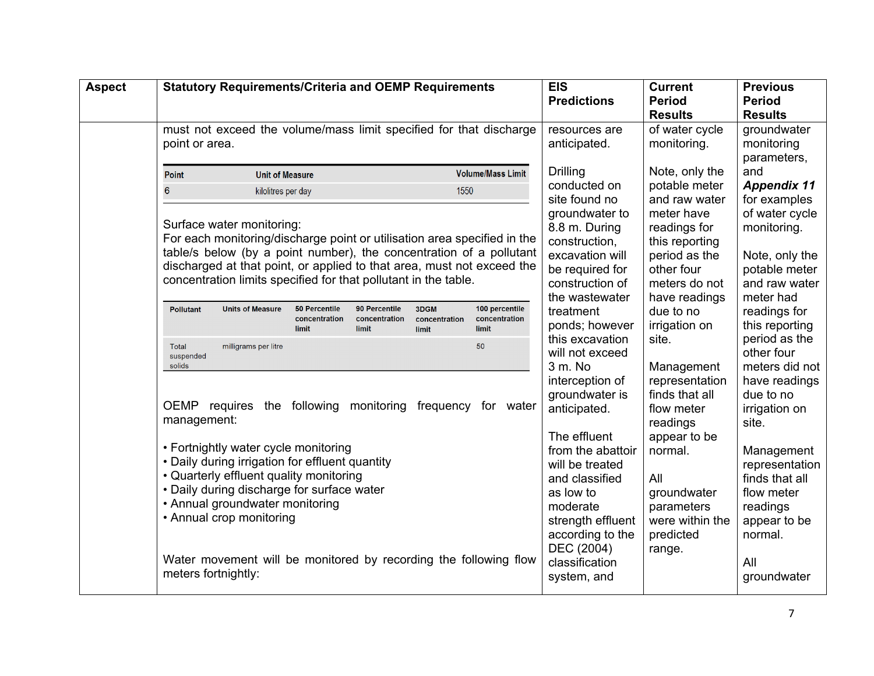| <b>Aspect</b> | <b>Statutory Requirements/Criteria and OEMP Requirements</b>                                                                                                                                                                                                                                                                                                                                                                                                                                                                                                                                                                                                                                                                                                                                                                                                                                                                                                                                                                                                             | <b>EIS</b><br><b>Predictions</b>                                                                                                                                                                                                                                                                                                                                                                                                                                               | <b>Current</b><br><b>Period</b><br><b>Results</b>                                                                                                                                                                                                                                                                                                                                             | <b>Previous</b><br><b>Period</b><br><b>Results</b>                                                                                                                                                                                                                                                                                                                                            |
|---------------|--------------------------------------------------------------------------------------------------------------------------------------------------------------------------------------------------------------------------------------------------------------------------------------------------------------------------------------------------------------------------------------------------------------------------------------------------------------------------------------------------------------------------------------------------------------------------------------------------------------------------------------------------------------------------------------------------------------------------------------------------------------------------------------------------------------------------------------------------------------------------------------------------------------------------------------------------------------------------------------------------------------------------------------------------------------------------|--------------------------------------------------------------------------------------------------------------------------------------------------------------------------------------------------------------------------------------------------------------------------------------------------------------------------------------------------------------------------------------------------------------------------------------------------------------------------------|-----------------------------------------------------------------------------------------------------------------------------------------------------------------------------------------------------------------------------------------------------------------------------------------------------------------------------------------------------------------------------------------------|-----------------------------------------------------------------------------------------------------------------------------------------------------------------------------------------------------------------------------------------------------------------------------------------------------------------------------------------------------------------------------------------------|
|               | must not exceed the volume/mass limit specified for that discharge<br>point or area.                                                                                                                                                                                                                                                                                                                                                                                                                                                                                                                                                                                                                                                                                                                                                                                                                                                                                                                                                                                     | resources are<br>anticipated.                                                                                                                                                                                                                                                                                                                                                                                                                                                  | of water cycle<br>monitoring.                                                                                                                                                                                                                                                                                                                                                                 | groundwater<br>monitoring<br>parameters,                                                                                                                                                                                                                                                                                                                                                      |
|               | <b>Volume/Mass Limit</b><br><b>Unit of Measure</b><br><b>Point</b><br>1550<br>$6\phantom{1}6$<br>kilolitres per day<br>Surface water monitoring:<br>For each monitoring/discharge point or utilisation area specified in the<br>table/s below (by a point number), the concentration of a pollutant<br>discharged at that point, or applied to that area, must not exceed the<br>concentration limits specified for that pollutant in the table.<br>100 percentile<br><b>50 Percentile</b><br>90 Percentile<br>3DGM<br><b>Pollutant</b><br><b>Units of Measure</b><br>concentration<br>concentration<br>concentration<br>concentration<br>limit<br>limit<br>limit<br>limit<br>Total<br>milligrams per litre<br>50<br>suspended<br>solids<br>OEMP requires the following monitoring frequency for water<br>management:<br>• Fortnightly water cycle monitoring<br>• Daily during irrigation for effluent quantity<br>• Quarterly effluent quality monitoring<br>• Daily during discharge for surface water<br>• Annual groundwater monitoring<br>• Annual crop monitoring | <b>Drilling</b><br>conducted on<br>site found no<br>groundwater to<br>8.8 m. During<br>construction,<br>excavation will<br>be required for<br>construction of<br>the wastewater<br>treatment<br>ponds; however<br>this excavation<br>will not exceed<br>3 m. No<br>interception of<br>groundwater is<br>anticipated.<br>The effluent<br>from the abattoir<br>will be treated<br>and classified<br>as low to<br>moderate<br>strength effluent<br>according to the<br>DEC (2004) | Note, only the<br>potable meter<br>and raw water<br>meter have<br>readings for<br>this reporting<br>period as the<br>other four<br>meters do not<br>have readings<br>due to no<br>irrigation on<br>site.<br>Management<br>representation<br>finds that all<br>flow meter<br>readings<br>appear to be<br>normal.<br>All<br>groundwater<br>parameters<br>were within the<br>predicted<br>range. | and<br><b>Appendix 11</b><br>for examples<br>of water cycle<br>monitoring.<br>Note, only the<br>potable meter<br>and raw water<br>meter had<br>readings for<br>this reporting<br>period as the<br>other four<br>meters did not<br>have readings<br>due to no<br>irrigation on<br>site.<br>Management<br>representation<br>finds that all<br>flow meter<br>readings<br>appear to be<br>normal. |
|               | Water movement will be monitored by recording the following flow<br>meters fortnightly:                                                                                                                                                                                                                                                                                                                                                                                                                                                                                                                                                                                                                                                                                                                                                                                                                                                                                                                                                                                  | classification<br>system, and                                                                                                                                                                                                                                                                                                                                                                                                                                                  |                                                                                                                                                                                                                                                                                                                                                                                               | All<br>groundwater                                                                                                                                                                                                                                                                                                                                                                            |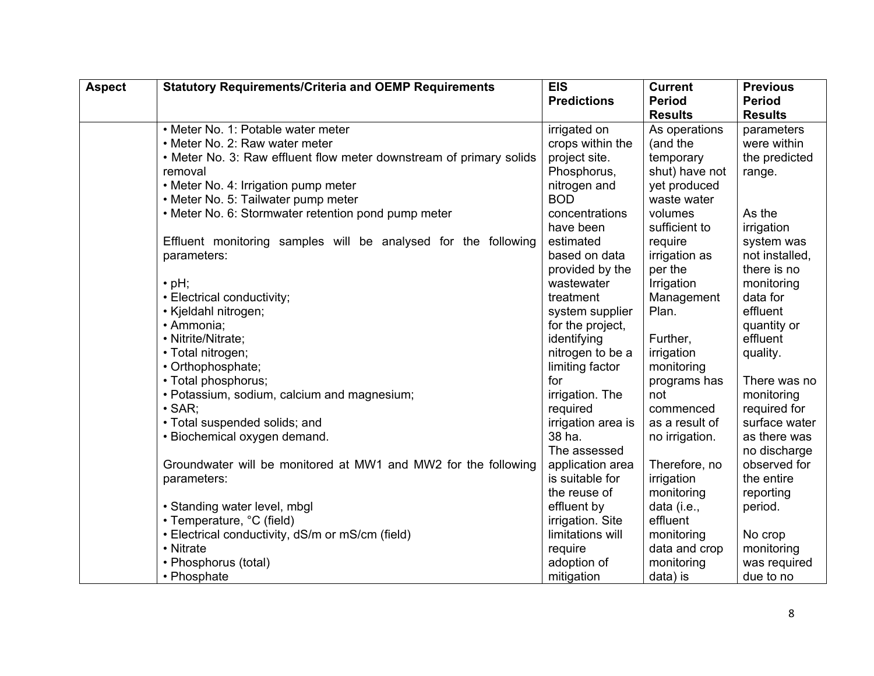| <b>Aspect</b> | <b>Statutory Requirements/Criteria and OEMP Requirements</b>        | <b>EIS</b>         | <b>Current</b> | <b>Previous</b> |
|---------------|---------------------------------------------------------------------|--------------------|----------------|-----------------|
|               |                                                                     | <b>Predictions</b> | <b>Period</b>  | <b>Period</b>   |
|               |                                                                     |                    | <b>Results</b> | <b>Results</b>  |
|               | • Meter No. 1: Potable water meter                                  | irrigated on       | As operations  | parameters      |
|               | • Meter No. 2: Raw water meter                                      | crops within the   | (and the       | were within     |
|               | • Meter No. 3: Raw effluent flow meter downstream of primary solids | project site.      | temporary      | the predicted   |
|               | removal                                                             | Phosphorus,        | shut) have not | range.          |
|               | • Meter No. 4: Irrigation pump meter                                | nitrogen and       | yet produced   |                 |
|               | • Meter No. 5: Tailwater pump meter                                 | <b>BOD</b>         | waste water    |                 |
|               | • Meter No. 6: Stormwater retention pond pump meter                 | concentrations     | volumes        | As the          |
|               |                                                                     | have been          | sufficient to  | irrigation      |
|               | Effluent monitoring samples will be analysed for the following      | estimated          | require        | system was      |
|               | parameters:                                                         | based on data      | irrigation as  | not installed,  |
|               |                                                                     | provided by the    | per the        | there is no     |
|               | $\cdot$ pH;                                                         | wastewater         | Irrigation     | monitoring      |
|               | • Electrical conductivity;                                          | treatment          | Management     | data for        |
|               | • Kjeldahl nitrogen;                                                | system supplier    | Plan.          | effluent        |
|               | · Ammonia;                                                          | for the project,   |                | quantity or     |
|               | • Nitrite/Nitrate;                                                  | identifying        | Further,       | effluent        |
|               | • Total nitrogen;                                                   | nitrogen to be a   | irrigation     | quality.        |
|               | • Orthophosphate;                                                   | limiting factor    | monitoring     |                 |
|               | • Total phosphorus;                                                 | for                | programs has   | There was no    |
|               | • Potassium, sodium, calcium and magnesium;                         | irrigation. The    | not            | monitoring      |
|               | $\cdot$ SAR:                                                        | required           | commenced      | required for    |
|               | • Total suspended solids; and                                       | irrigation area is | as a result of | surface water   |
|               | • Biochemical oxygen demand.                                        | 38 ha.             | no irrigation. | as there was    |
|               |                                                                     | The assessed       |                | no discharge    |
|               | Groundwater will be monitored at MW1 and MW2 for the following      | application area   | Therefore, no  | observed for    |
|               | parameters:                                                         | is suitable for    | irrigation     | the entire      |
|               |                                                                     | the reuse of       | monitoring     | reporting       |
|               | • Standing water level, mbgl                                        | effluent by        | data (i.e.,    | period.         |
|               | • Temperature, °C (field)                                           | irrigation. Site   | effluent       |                 |
|               | • Electrical conductivity, dS/m or mS/cm (field)                    | limitations will   | monitoring     | No crop         |
|               | • Nitrate                                                           | require            | data and crop  | monitoring      |
|               | • Phosphorus (total)                                                | adoption of        | monitoring     | was required    |
|               | • Phosphate                                                         | mitigation         | data) is       | due to no       |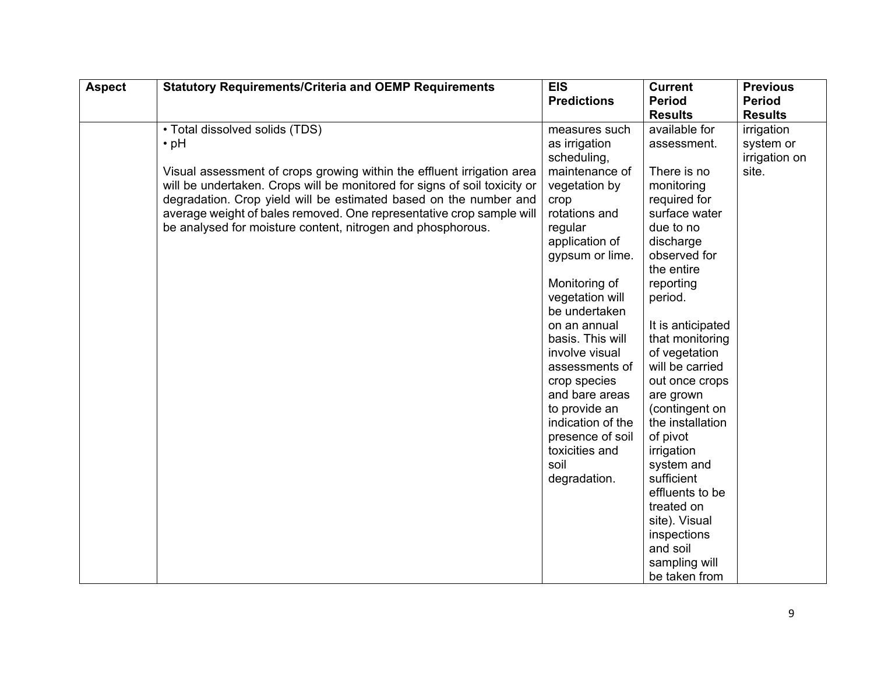| <b>Aspect</b> | <b>Statutory Requirements/Criteria and OEMP Requirements</b>              | <b>EIS</b>         | <b>Current</b>                                            | <b>Previous</b> |
|---------------|---------------------------------------------------------------------------|--------------------|-----------------------------------------------------------|-----------------|
|               |                                                                           | <b>Predictions</b> | <b>Period</b>                                             | <b>Period</b>   |
|               |                                                                           |                    | <b>Results</b>                                            | <b>Results</b>  |
|               | • Total dissolved solids (TDS)                                            | measures such      | available for                                             | irrigation      |
|               | $\cdot$ pH                                                                | as irrigation      | assessment.                                               | system or       |
|               |                                                                           | scheduling,        |                                                           | irrigation on   |
|               | Visual assessment of crops growing within the effluent irrigation area    | maintenance of     | There is no                                               | site.           |
|               | will be undertaken. Crops will be monitored for signs of soil toxicity or | vegetation by      | monitoring                                                |                 |
|               | degradation. Crop yield will be estimated based on the number and         | crop               | required for                                              |                 |
|               | average weight of bales removed. One representative crop sample will      | rotations and      | surface water                                             |                 |
|               | be analysed for moisture content, nitrogen and phosphorous.               | regular            | due to no                                                 |                 |
|               |                                                                           | application of     | discharge                                                 |                 |
|               |                                                                           | gypsum or lime.    | observed for                                              |                 |
|               |                                                                           |                    | the entire                                                |                 |
|               |                                                                           | Monitoring of      | reporting                                                 |                 |
|               |                                                                           | vegetation will    | period.                                                   |                 |
|               |                                                                           | be undertaken      |                                                           |                 |
|               |                                                                           | on an annual       | It is anticipated                                         |                 |
|               |                                                                           | basis. This will   | that monitoring                                           |                 |
|               |                                                                           | involve visual     | of vegetation                                             |                 |
|               |                                                                           | assessments of     | will be carried                                           |                 |
|               |                                                                           | crop species       | out once crops                                            |                 |
|               |                                                                           | and bare areas     | are grown                                                 |                 |
|               |                                                                           | to provide an      | (contingent on                                            |                 |
|               |                                                                           | indication of the  | the installation                                          |                 |
|               |                                                                           | presence of soil   | of pivot                                                  |                 |
|               |                                                                           | toxicities and     | irrigation                                                |                 |
|               |                                                                           | soil               | system and                                                |                 |
|               |                                                                           | degradation.       | sufficient<br>effluents to be                             |                 |
|               |                                                                           |                    | treated on                                                |                 |
|               |                                                                           |                    | site). Visual                                             |                 |
|               |                                                                           |                    |                                                           |                 |
|               |                                                                           |                    |                                                           |                 |
|               |                                                                           |                    |                                                           |                 |
|               |                                                                           |                    |                                                           |                 |
|               |                                                                           |                    | inspections<br>and soil<br>sampling will<br>be taken from |                 |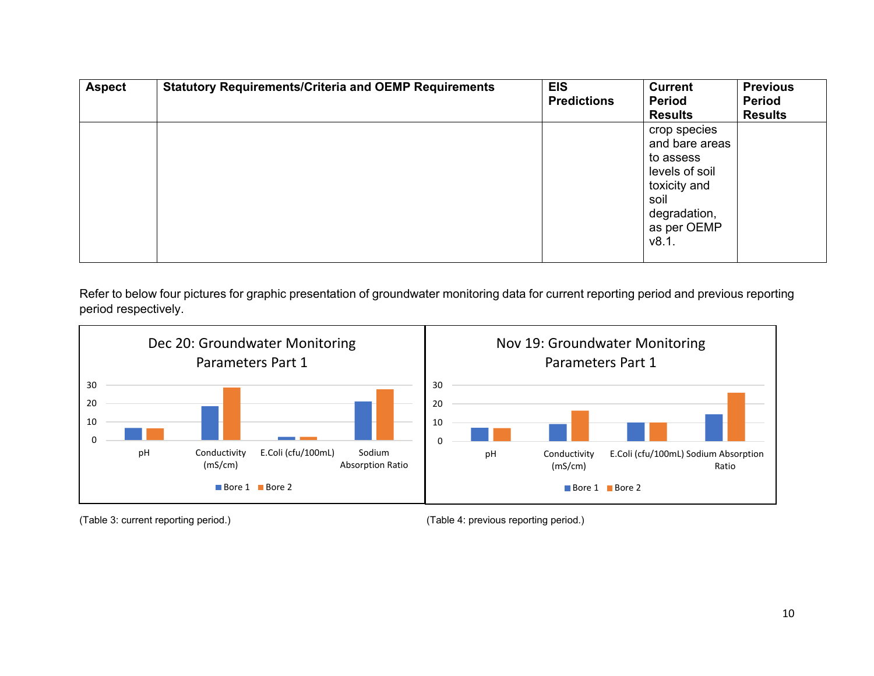| <b>Aspect</b> | <b>Statutory Requirements/Criteria and OEMP Requirements</b> | <b>EIS</b><br><b>Predictions</b> | <b>Current</b><br><b>Period</b><br><b>Results</b>                                                                             | <b>Previous</b><br><b>Period</b><br><b>Results</b> |
|---------------|--------------------------------------------------------------|----------------------------------|-------------------------------------------------------------------------------------------------------------------------------|----------------------------------------------------|
|               |                                                              |                                  | crop species<br>and bare areas<br>to assess<br>levels of soil<br>toxicity and<br>soil<br>degradation,<br>as per OEMP<br>v8.1. |                                                    |

Refer to below four pictures for graphic presentation of groundwater monitoring data for current reporting period and previous reporting period respectively.



<sup>(</sup>Table 3: current reporting period.) (Table 4: previous reporting period.)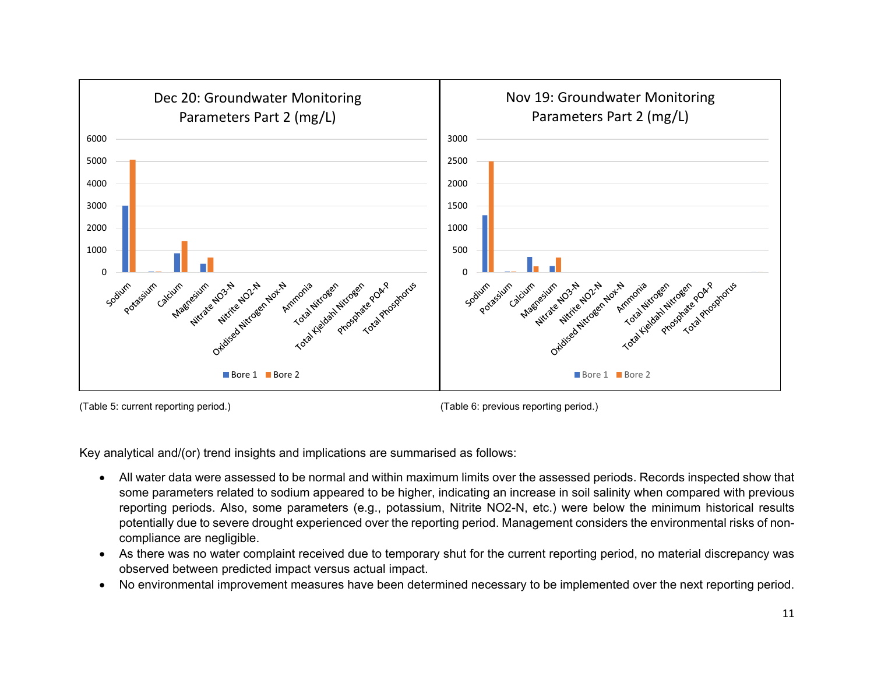



(Table 5: current reporting period.) (Table 6: previous reporting period.)

- All water data were assessed to be normal and within maximum limits over the assessed periods. Records inspected show that some parameters related to sodium appeared to be higher, indicating an increase in soil salinity when compared with previous reporting periods. Also, some parameters (e.g., potassium, Nitrite NO2-N, etc.) were below the minimum historical results potentially due to severe drought experienced over the reporting period. Management considers the environmental risks of noncompliance are negligible.
- As there was no water complaint received due to temporary shut for the current reporting period, no material discrepancy was observed between predicted impact versus actual impact.
- No environmental improvement measures have been determined necessary to be implemented over the next reporting period.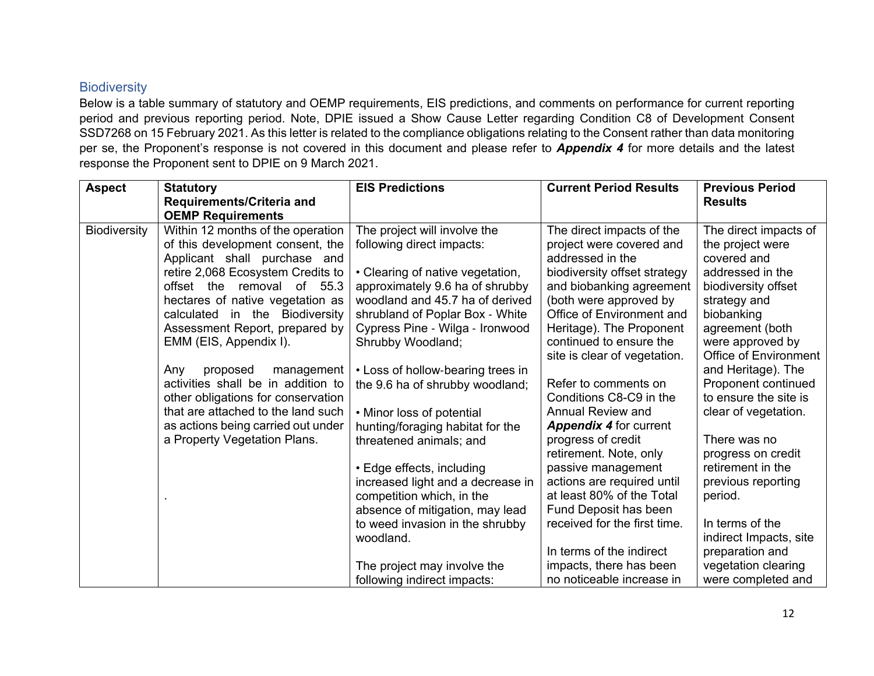## **Biodiversity**

Below is a table summary of statutory and OEMP requirements, EIS predictions, and comments on performance for current reporting period and previous reporting period. Note, DPIE issued a Show Cause Letter regarding Condition C8 of Development Consent SSD7268 on 15 February 2021. As this letter is related to the compliance obligations relating to the Consent rather than data monitoring per se, the Proponent's response is not covered in this document and please refer to *Appendix 4* for more details and the latest response the Proponent sent to DPIE on 9 March 2021.

| <b>Aspect</b>       | <b>Statutory</b>                                                                                                                                                                                                                                                                                                                                                                                                                                                                                                                                                                             | <b>EIS Predictions</b>                                                                                                                                                                                                                                                                                                                                                                                                                                                                                                                                               | <b>Current Period Results</b>                                                                                                                                                                                                                                                                                                                                                                                                                                                                                                                                                                 | <b>Previous Period</b>                                                                                                                                                                                                                                                                                                                                                                                                                  |
|---------------------|----------------------------------------------------------------------------------------------------------------------------------------------------------------------------------------------------------------------------------------------------------------------------------------------------------------------------------------------------------------------------------------------------------------------------------------------------------------------------------------------------------------------------------------------------------------------------------------------|----------------------------------------------------------------------------------------------------------------------------------------------------------------------------------------------------------------------------------------------------------------------------------------------------------------------------------------------------------------------------------------------------------------------------------------------------------------------------------------------------------------------------------------------------------------------|-----------------------------------------------------------------------------------------------------------------------------------------------------------------------------------------------------------------------------------------------------------------------------------------------------------------------------------------------------------------------------------------------------------------------------------------------------------------------------------------------------------------------------------------------------------------------------------------------|-----------------------------------------------------------------------------------------------------------------------------------------------------------------------------------------------------------------------------------------------------------------------------------------------------------------------------------------------------------------------------------------------------------------------------------------|
|                     |                                                                                                                                                                                                                                                                                                                                                                                                                                                                                                                                                                                              |                                                                                                                                                                                                                                                                                                                                                                                                                                                                                                                                                                      |                                                                                                                                                                                                                                                                                                                                                                                                                                                                                                                                                                                               |                                                                                                                                                                                                                                                                                                                                                                                                                                         |
| <b>Biodiversity</b> | Requirements/Criteria and<br><b>OEMP Requirements</b><br>Within 12 months of the operation<br>of this development consent, the<br>Applicant shall purchase and<br>retire 2,068 Ecosystem Credits to<br>offset the removal of 55.3<br>hectares of native vegetation as<br>calculated in the Biodiversity<br>Assessment Report, prepared by<br>EMM (EIS, Appendix I).<br>Any<br>proposed<br>management<br>activities shall be in addition to<br>other obligations for conservation<br>that are attached to the land such<br>as actions being carried out under<br>a Property Vegetation Plans. | The project will involve the<br>following direct impacts:<br>• Clearing of native vegetation,<br>approximately 9.6 ha of shrubby<br>woodland and 45.7 ha of derived<br>shrubland of Poplar Box - White<br>Cypress Pine - Wilga - Ironwood<br>Shrubby Woodland;<br>• Loss of hollow-bearing trees in<br>the 9.6 ha of shrubby woodland;<br>• Minor loss of potential<br>hunting/foraging habitat for the<br>threatened animals; and<br>• Edge effects, including<br>increased light and a decrease in<br>competition which, in the<br>absence of mitigation, may lead | The direct impacts of the<br>project were covered and<br>addressed in the<br>biodiversity offset strategy<br>and biobanking agreement<br>(both were approved by<br>Office of Environment and<br>Heritage). The Proponent<br>continued to ensure the<br>site is clear of vegetation.<br>Refer to comments on<br>Conditions C8-C9 in the<br><b>Annual Review and</b><br><b>Appendix 4 for current</b><br>progress of credit<br>retirement. Note, only<br>passive management<br>actions are required until<br>at least 80% of the Total<br>Fund Deposit has been<br>received for the first time. | <b>Results</b><br>The direct impacts of<br>the project were<br>covered and<br>addressed in the<br>biodiversity offset<br>strategy and<br>biobanking<br>agreement (both<br>were approved by<br><b>Office of Environment</b><br>and Heritage). The<br>Proponent continued<br>to ensure the site is<br>clear of vegetation.<br>There was no<br>progress on credit<br>retirement in the<br>previous reporting<br>period.<br>In terms of the |
|                     |                                                                                                                                                                                                                                                                                                                                                                                                                                                                                                                                                                                              | to weed invasion in the shrubby<br>woodland.                                                                                                                                                                                                                                                                                                                                                                                                                                                                                                                         |                                                                                                                                                                                                                                                                                                                                                                                                                                                                                                                                                                                               | indirect Impacts, site                                                                                                                                                                                                                                                                                                                                                                                                                  |
|                     |                                                                                                                                                                                                                                                                                                                                                                                                                                                                                                                                                                                              |                                                                                                                                                                                                                                                                                                                                                                                                                                                                                                                                                                      | In terms of the indirect                                                                                                                                                                                                                                                                                                                                                                                                                                                                                                                                                                      | preparation and                                                                                                                                                                                                                                                                                                                                                                                                                         |
|                     |                                                                                                                                                                                                                                                                                                                                                                                                                                                                                                                                                                                              | The project may involve the                                                                                                                                                                                                                                                                                                                                                                                                                                                                                                                                          | impacts, there has been                                                                                                                                                                                                                                                                                                                                                                                                                                                                                                                                                                       | vegetation clearing                                                                                                                                                                                                                                                                                                                                                                                                                     |
|                     |                                                                                                                                                                                                                                                                                                                                                                                                                                                                                                                                                                                              | following indirect impacts:                                                                                                                                                                                                                                                                                                                                                                                                                                                                                                                                          | no noticeable increase in                                                                                                                                                                                                                                                                                                                                                                                                                                                                                                                                                                     | were completed and                                                                                                                                                                                                                                                                                                                                                                                                                      |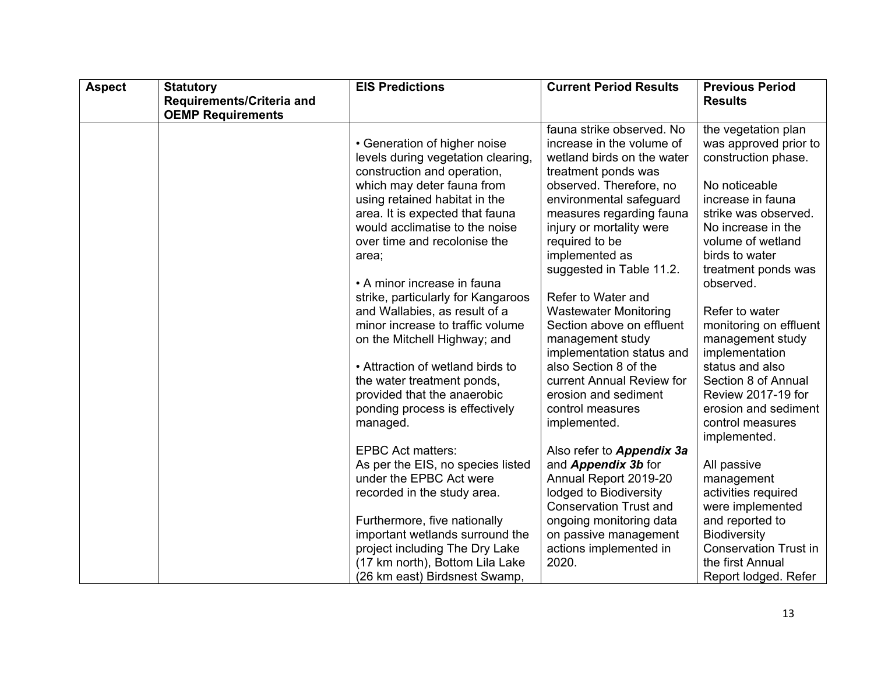| <b>Aspect</b> | <b>Statutory</b>          | <b>EIS Predictions</b>                                                                                                                                                                                                                                                                                                                                                                                                                          | <b>Current Period Results</b>                                                                                                                                                                                                                                                                                                                               | <b>Previous Period</b>                                                                                                                                                                                                                                                                                                 |
|---------------|---------------------------|-------------------------------------------------------------------------------------------------------------------------------------------------------------------------------------------------------------------------------------------------------------------------------------------------------------------------------------------------------------------------------------------------------------------------------------------------|-------------------------------------------------------------------------------------------------------------------------------------------------------------------------------------------------------------------------------------------------------------------------------------------------------------------------------------------------------------|------------------------------------------------------------------------------------------------------------------------------------------------------------------------------------------------------------------------------------------------------------------------------------------------------------------------|
|               | Requirements/Criteria and |                                                                                                                                                                                                                                                                                                                                                                                                                                                 |                                                                                                                                                                                                                                                                                                                                                             | <b>Results</b>                                                                                                                                                                                                                                                                                                         |
|               | <b>OEMP Requirements</b>  |                                                                                                                                                                                                                                                                                                                                                                                                                                                 |                                                                                                                                                                                                                                                                                                                                                             |                                                                                                                                                                                                                                                                                                                        |
|               |                           |                                                                                                                                                                                                                                                                                                                                                                                                                                                 | fauna strike observed. No                                                                                                                                                                                                                                                                                                                                   | the vegetation plan                                                                                                                                                                                                                                                                                                    |
|               |                           | • Generation of higher noise                                                                                                                                                                                                                                                                                                                                                                                                                    | increase in the volume of                                                                                                                                                                                                                                                                                                                                   | was approved prior to                                                                                                                                                                                                                                                                                                  |
|               |                           | levels during vegetation clearing,                                                                                                                                                                                                                                                                                                                                                                                                              | wetland birds on the water                                                                                                                                                                                                                                                                                                                                  | construction phase.                                                                                                                                                                                                                                                                                                    |
|               |                           | construction and operation,                                                                                                                                                                                                                                                                                                                                                                                                                     | treatment ponds was                                                                                                                                                                                                                                                                                                                                         |                                                                                                                                                                                                                                                                                                                        |
|               |                           | which may deter fauna from                                                                                                                                                                                                                                                                                                                                                                                                                      | observed. Therefore, no                                                                                                                                                                                                                                                                                                                                     | No noticeable                                                                                                                                                                                                                                                                                                          |
|               |                           | using retained habitat in the                                                                                                                                                                                                                                                                                                                                                                                                                   | environmental safeguard                                                                                                                                                                                                                                                                                                                                     | increase in fauna                                                                                                                                                                                                                                                                                                      |
|               |                           | area. It is expected that fauna                                                                                                                                                                                                                                                                                                                                                                                                                 | measures regarding fauna                                                                                                                                                                                                                                                                                                                                    | strike was observed.                                                                                                                                                                                                                                                                                                   |
|               |                           | would acclimatise to the noise                                                                                                                                                                                                                                                                                                                                                                                                                  | injury or mortality were                                                                                                                                                                                                                                                                                                                                    | No increase in the                                                                                                                                                                                                                                                                                                     |
|               |                           | over time and recolonise the                                                                                                                                                                                                                                                                                                                                                                                                                    | required to be                                                                                                                                                                                                                                                                                                                                              | volume of wetland                                                                                                                                                                                                                                                                                                      |
|               |                           | area;                                                                                                                                                                                                                                                                                                                                                                                                                                           | implemented as                                                                                                                                                                                                                                                                                                                                              | birds to water                                                                                                                                                                                                                                                                                                         |
|               |                           | • A minor increase in fauna                                                                                                                                                                                                                                                                                                                                                                                                                     | suggested in Table 11.2.                                                                                                                                                                                                                                                                                                                                    | treatment ponds was<br>observed.                                                                                                                                                                                                                                                                                       |
|               |                           | strike, particularly for Kangaroos                                                                                                                                                                                                                                                                                                                                                                                                              | Refer to Water and                                                                                                                                                                                                                                                                                                                                          |                                                                                                                                                                                                                                                                                                                        |
|               |                           | and Wallabies, as result of a                                                                                                                                                                                                                                                                                                                                                                                                                   | <b>Wastewater Monitoring</b>                                                                                                                                                                                                                                                                                                                                | Refer to water                                                                                                                                                                                                                                                                                                         |
|               |                           | minor increase to traffic volume                                                                                                                                                                                                                                                                                                                                                                                                                | Section above on effluent                                                                                                                                                                                                                                                                                                                                   | monitoring on effluent                                                                                                                                                                                                                                                                                                 |
|               |                           | on the Mitchell Highway; and                                                                                                                                                                                                                                                                                                                                                                                                                    | management study                                                                                                                                                                                                                                                                                                                                            | management study                                                                                                                                                                                                                                                                                                       |
|               |                           |                                                                                                                                                                                                                                                                                                                                                                                                                                                 | implementation status and                                                                                                                                                                                                                                                                                                                                   | implementation                                                                                                                                                                                                                                                                                                         |
|               |                           |                                                                                                                                                                                                                                                                                                                                                                                                                                                 |                                                                                                                                                                                                                                                                                                                                                             |                                                                                                                                                                                                                                                                                                                        |
|               |                           |                                                                                                                                                                                                                                                                                                                                                                                                                                                 |                                                                                                                                                                                                                                                                                                                                                             |                                                                                                                                                                                                                                                                                                                        |
|               |                           |                                                                                                                                                                                                                                                                                                                                                                                                                                                 |                                                                                                                                                                                                                                                                                                                                                             |                                                                                                                                                                                                                                                                                                                        |
|               |                           |                                                                                                                                                                                                                                                                                                                                                                                                                                                 |                                                                                                                                                                                                                                                                                                                                                             |                                                                                                                                                                                                                                                                                                                        |
|               |                           |                                                                                                                                                                                                                                                                                                                                                                                                                                                 |                                                                                                                                                                                                                                                                                                                                                             |                                                                                                                                                                                                                                                                                                                        |
|               |                           |                                                                                                                                                                                                                                                                                                                                                                                                                                                 |                                                                                                                                                                                                                                                                                                                                                             |                                                                                                                                                                                                                                                                                                                        |
|               |                           |                                                                                                                                                                                                                                                                                                                                                                                                                                                 |                                                                                                                                                                                                                                                                                                                                                             |                                                                                                                                                                                                                                                                                                                        |
|               |                           |                                                                                                                                                                                                                                                                                                                                                                                                                                                 |                                                                                                                                                                                                                                                                                                                                                             |                                                                                                                                                                                                                                                                                                                        |
|               |                           |                                                                                                                                                                                                                                                                                                                                                                                                                                                 |                                                                                                                                                                                                                                                                                                                                                             |                                                                                                                                                                                                                                                                                                                        |
|               |                           |                                                                                                                                                                                                                                                                                                                                                                                                                                                 |                                                                                                                                                                                                                                                                                                                                                             |                                                                                                                                                                                                                                                                                                                        |
|               |                           |                                                                                                                                                                                                                                                                                                                                                                                                                                                 |                                                                                                                                                                                                                                                                                                                                                             |                                                                                                                                                                                                                                                                                                                        |
|               |                           |                                                                                                                                                                                                                                                                                                                                                                                                                                                 |                                                                                                                                                                                                                                                                                                                                                             |                                                                                                                                                                                                                                                                                                                        |
|               |                           |                                                                                                                                                                                                                                                                                                                                                                                                                                                 |                                                                                                                                                                                                                                                                                                                                                             |                                                                                                                                                                                                                                                                                                                        |
|               |                           |                                                                                                                                                                                                                                                                                                                                                                                                                                                 |                                                                                                                                                                                                                                                                                                                                                             |                                                                                                                                                                                                                                                                                                                        |
|               |                           |                                                                                                                                                                                                                                                                                                                                                                                                                                                 |                                                                                                                                                                                                                                                                                                                                                             |                                                                                                                                                                                                                                                                                                                        |
|               |                           | • Attraction of wetland birds to<br>the water treatment ponds,<br>provided that the anaerobic<br>ponding process is effectively<br>managed.<br><b>EPBC Act matters:</b><br>As per the EIS, no species listed<br>under the EPBC Act were<br>recorded in the study area.<br>Furthermore, five nationally<br>important wetlands surround the<br>project including The Dry Lake<br>(17 km north), Bottom Lila Lake<br>(26 km east) Birdsnest Swamp, | also Section 8 of the<br>current Annual Review for<br>erosion and sediment<br>control measures<br>implemented.<br>Also refer to <b>Appendix 3a</b><br>and <b>Appendix 3b</b> for<br>Annual Report 2019-20<br>lodged to Biodiversity<br><b>Conservation Trust and</b><br>ongoing monitoring data<br>on passive management<br>actions implemented in<br>2020. | status and also<br>Section 8 of Annual<br>Review 2017-19 for<br>erosion and sediment<br>control measures<br>implemented.<br>All passive<br>management<br>activities required<br>were implemented<br>and reported to<br><b>Biodiversity</b><br><b>Conservation Trust in</b><br>the first Annual<br>Report lodged. Refer |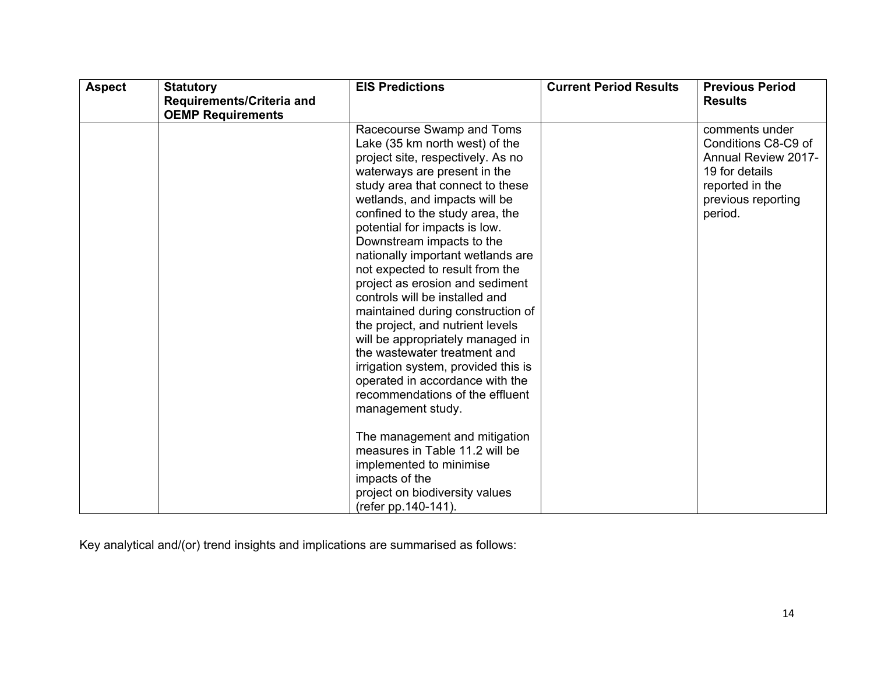| <b>Aspect</b> | <b>Statutory</b><br>Requirements/Criteria and | <b>EIS Predictions</b>              | <b>Current Period Results</b> | <b>Previous Period</b><br><b>Results</b> |
|---------------|-----------------------------------------------|-------------------------------------|-------------------------------|------------------------------------------|
|               | <b>OEMP Requirements</b>                      |                                     |                               |                                          |
|               |                                               | Racecourse Swamp and Toms           |                               | comments under                           |
|               |                                               | Lake (35 km north west) of the      |                               | Conditions C8-C9 of                      |
|               |                                               | project site, respectively. As no   |                               | <b>Annual Review 2017-</b>               |
|               |                                               | waterways are present in the        |                               | 19 for details                           |
|               |                                               | study area that connect to these    |                               | reported in the                          |
|               |                                               | wetlands, and impacts will be       |                               | previous reporting                       |
|               |                                               | confined to the study area, the     |                               | period.                                  |
|               |                                               | potential for impacts is low.       |                               |                                          |
|               |                                               | Downstream impacts to the           |                               |                                          |
|               |                                               | nationally important wetlands are   |                               |                                          |
|               |                                               | not expected to result from the     |                               |                                          |
|               |                                               | project as erosion and sediment     |                               |                                          |
|               |                                               | controls will be installed and      |                               |                                          |
|               |                                               | maintained during construction of   |                               |                                          |
|               |                                               | the project, and nutrient levels    |                               |                                          |
|               |                                               | will be appropriately managed in    |                               |                                          |
|               |                                               | the wastewater treatment and        |                               |                                          |
|               |                                               | irrigation system, provided this is |                               |                                          |
|               |                                               | operated in accordance with the     |                               |                                          |
|               |                                               | recommendations of the effluent     |                               |                                          |
|               |                                               | management study.                   |                               |                                          |
|               |                                               | The management and mitigation       |                               |                                          |
|               |                                               | measures in Table 11.2 will be      |                               |                                          |
|               |                                               | implemented to minimise             |                               |                                          |
|               |                                               | impacts of the                      |                               |                                          |
|               |                                               | project on biodiversity values      |                               |                                          |
|               |                                               | (refer pp. 140-141).                |                               |                                          |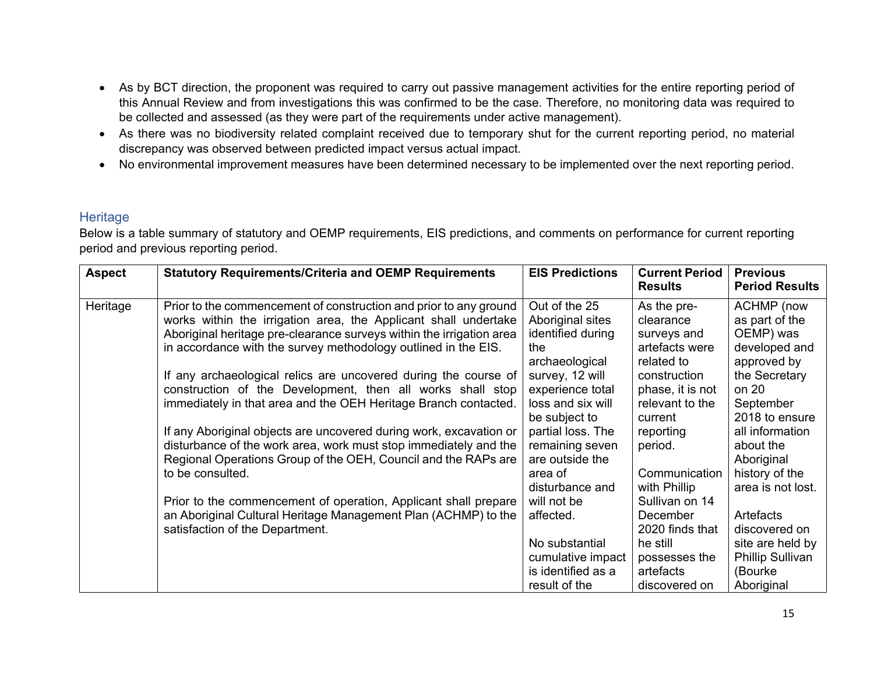- As by BCT direction, the proponent was required to carry out passive management activities for the entire reporting period of this Annual Review and from investigations this was confirmed to be the case. Therefore, no monitoring data was required to be collected and assessed (as they were part of the requirements under active management).
- As there was no biodiversity related complaint received due to temporary shut for the current reporting period, no material discrepancy was observed between predicted impact versus actual impact.
- No environmental improvement measures have been determined necessary to be implemented over the next reporting period.

#### **Heritage**

| <b>Aspect</b> | <b>Statutory Requirements/Criteria and OEMP Requirements</b>                                                                                                                                                                                                                                                                                      | <b>EIS Predictions</b>                                                                             | <b>Current Period</b><br><b>Results</b>                                                 | <b>Previous</b><br><b>Period Results</b>                                                          |
|---------------|---------------------------------------------------------------------------------------------------------------------------------------------------------------------------------------------------------------------------------------------------------------------------------------------------------------------------------------------------|----------------------------------------------------------------------------------------------------|-----------------------------------------------------------------------------------------|---------------------------------------------------------------------------------------------------|
| Heritage      | Prior to the commencement of construction and prior to any ground<br>works within the irrigation area, the Applicant shall undertake<br>Aboriginal heritage pre-clearance surveys within the irrigation area<br>in accordance with the survey methodology outlined in the EIS.<br>If any archaeological relics are uncovered during the course of | Out of the 25<br>Aboriginal sites<br>identified during<br>the<br>archaeological<br>survey, 12 will | As the pre-<br>clearance<br>surveys and<br>artefacts were<br>related to<br>construction | <b>ACHMP</b> (now<br>as part of the<br>OEMP) was<br>developed and<br>approved by<br>the Secretary |
|               | construction of the Development, then all works shall stop<br>immediately in that area and the OEH Heritage Branch contacted.                                                                                                                                                                                                                     | experience total<br>loss and six will<br>be subject to<br>partial loss. The                        | phase, it is not<br>relevant to the<br>current                                          | on 20<br>September<br>2018 to ensure<br>all information                                           |
|               | If any Aboriginal objects are uncovered during work, excavation or<br>disturbance of the work area, work must stop immediately and the<br>Regional Operations Group of the OEH, Council and the RAPs are<br>to be consulted.                                                                                                                      | remaining seven<br>are outside the<br>area of                                                      | reporting<br>period.<br>Communication                                                   | about the<br>Aboriginal<br>history of the                                                         |
|               | Prior to the commencement of operation, Applicant shall prepare<br>an Aboriginal Cultural Heritage Management Plan (ACHMP) to the                                                                                                                                                                                                                 | disturbance and<br>will not be<br>affected.                                                        | with Phillip<br>Sullivan on 14<br>December                                              | area is not lost.<br>Artefacts                                                                    |
|               | satisfaction of the Department.                                                                                                                                                                                                                                                                                                                   | No substantial<br>cumulative impact                                                                | 2020 finds that<br>he still<br>possesses the                                            | discovered on<br>site are held by<br><b>Phillip Sullivan</b>                                      |
|               |                                                                                                                                                                                                                                                                                                                                                   | is identified as a<br>result of the                                                                | artefacts<br>discovered on                                                              | (Bourke<br>Aboriginal                                                                             |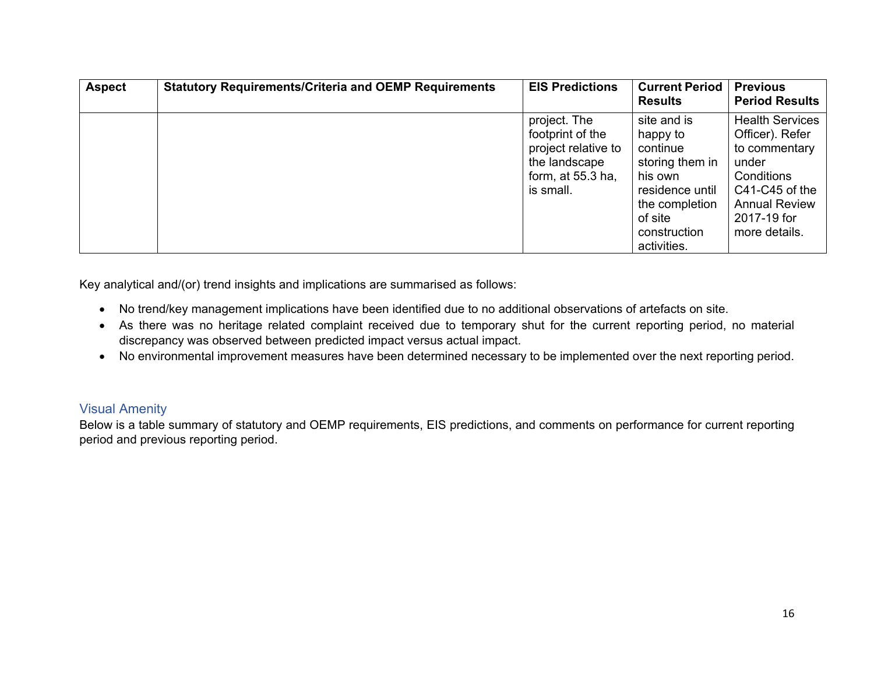| <b>Aspect</b> | <b>Statutory Requirements/Criteria and OEMP Requirements</b> | <b>EIS Predictions</b>                                                                                       | <b>Current Period</b><br><b>Results</b>                                                                                                          | <b>Previous</b><br><b>Period Results</b>                                                                                                                    |
|---------------|--------------------------------------------------------------|--------------------------------------------------------------------------------------------------------------|--------------------------------------------------------------------------------------------------------------------------------------------------|-------------------------------------------------------------------------------------------------------------------------------------------------------------|
|               |                                                              | project. The<br>footprint of the<br>project relative to<br>the landscape<br>form, at $55.3$ ha,<br>is small. | site and is<br>happy to<br>continue<br>storing them in<br>his own<br>residence until<br>the completion<br>of site<br>construction<br>activities. | <b>Health Services</b><br>Officer). Refer<br>to commentary<br>under<br>Conditions<br>C41-C45 of the<br><b>Annual Review</b><br>2017-19 for<br>more details. |

- No trend/key management implications have been identified due to no additional observations of artefacts on site.
- As there was no heritage related complaint received due to temporary shut for the current reporting period, no material discrepancy was observed between predicted impact versus actual impact.
- No environmental improvement measures have been determined necessary to be implemented over the next reporting period.

# Visual Amenity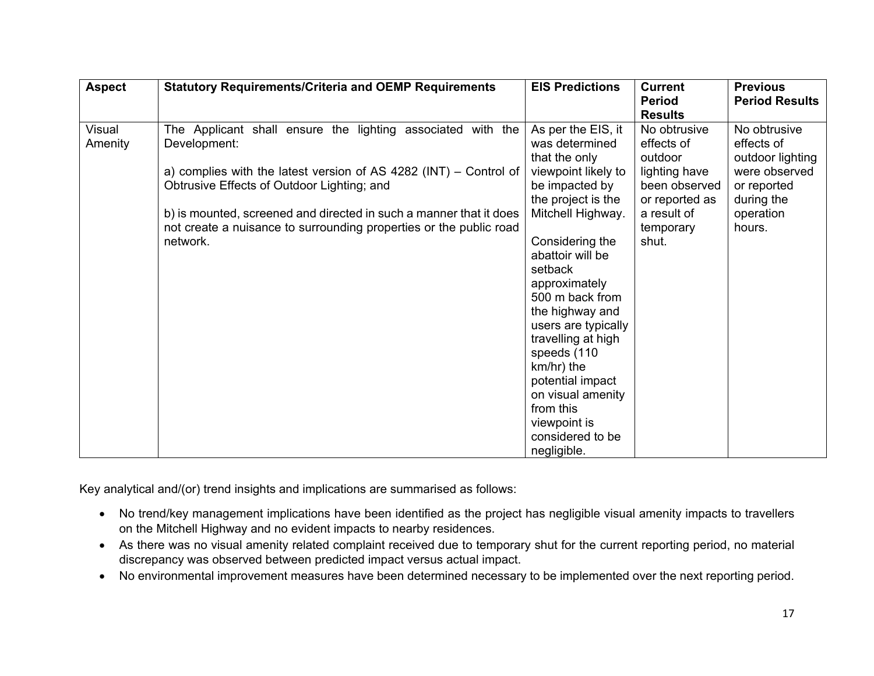| <b>Aspect</b>     | <b>Statutory Requirements/Criteria and OEMP Requirements</b>                                                                                                                                                                                                                                                                                               | <b>EIS Predictions</b>                                                                                                                                                                                                                                                                                                                                                                                                 | <b>Current</b><br><b>Period</b><br><b>Results</b>                                                                              | <b>Previous</b><br><b>Period Results</b>                                                                            |
|-------------------|------------------------------------------------------------------------------------------------------------------------------------------------------------------------------------------------------------------------------------------------------------------------------------------------------------------------------------------------------------|------------------------------------------------------------------------------------------------------------------------------------------------------------------------------------------------------------------------------------------------------------------------------------------------------------------------------------------------------------------------------------------------------------------------|--------------------------------------------------------------------------------------------------------------------------------|---------------------------------------------------------------------------------------------------------------------|
| Visual<br>Amenity | The Applicant shall ensure the lighting associated with the<br>Development:<br>a) complies with the latest version of AS 4282 ( $INT$ ) – Control of<br>Obtrusive Effects of Outdoor Lighting; and<br>b) is mounted, screened and directed in such a manner that it does<br>not create a nuisance to surrounding properties or the public road<br>network. | As per the EIS, it<br>was determined<br>that the only<br>viewpoint likely to<br>be impacted by<br>the project is the<br>Mitchell Highway.<br>Considering the<br>abattoir will be<br>setback<br>approximately<br>500 m back from<br>the highway and<br>users are typically<br>travelling at high<br>speeds (110<br>km/hr) the<br>potential impact<br>on visual amenity<br>from this<br>viewpoint is<br>considered to be | No obtrusive<br>effects of<br>outdoor<br>lighting have<br>been observed<br>or reported as<br>a result of<br>temporary<br>shut. | No obtrusive<br>effects of<br>outdoor lighting<br>were observed<br>or reported<br>during the<br>operation<br>hours. |
|                   |                                                                                                                                                                                                                                                                                                                                                            | negligible.                                                                                                                                                                                                                                                                                                                                                                                                            |                                                                                                                                |                                                                                                                     |

- No trend/key management implications have been identified as the project has negligible visual amenity impacts to travellers on the Mitchell Highway and no evident impacts to nearby residences.
- As there was no visual amenity related complaint received due to temporary shut for the current reporting period, no material discrepancy was observed between predicted impact versus actual impact.
- No environmental improvement measures have been determined necessary to be implemented over the next reporting period.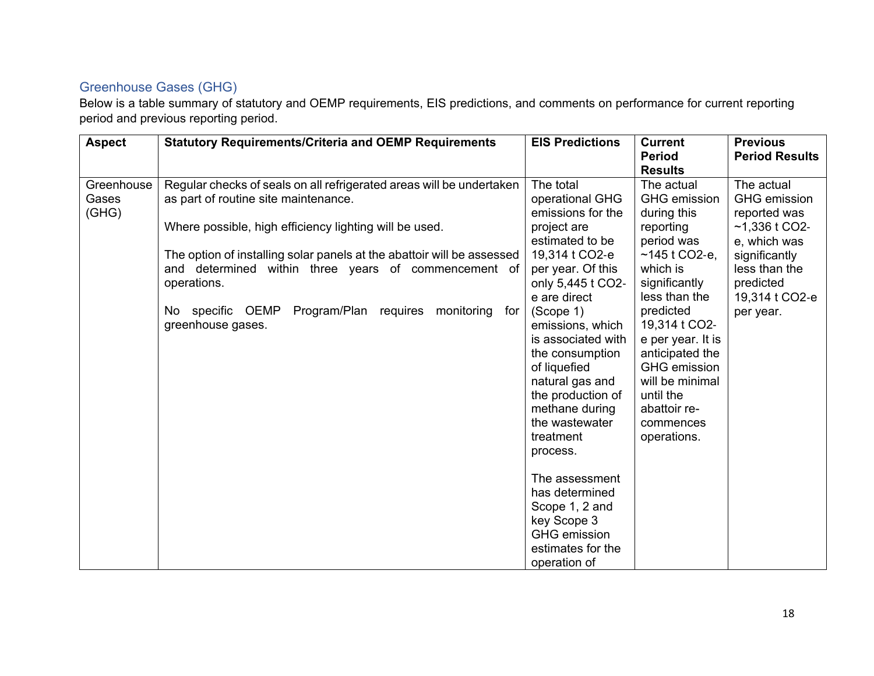# Greenhouse Gases (GHG)

| <b>Aspect</b>                | <b>Statutory Requirements/Criteria and OEMP Requirements</b>                                                                                                                                                                                                                                                                                                                                                   | <b>EIS Predictions</b>                                                                                                                                                                                                                                                                                                                                                                                                                                                                          | <b>Current</b><br><b>Period</b><br><b>Results</b>                                                                                                                                                                                                                                                                   | <b>Previous</b><br><b>Period Results</b>                                                                                                                           |
|------------------------------|----------------------------------------------------------------------------------------------------------------------------------------------------------------------------------------------------------------------------------------------------------------------------------------------------------------------------------------------------------------------------------------------------------------|-------------------------------------------------------------------------------------------------------------------------------------------------------------------------------------------------------------------------------------------------------------------------------------------------------------------------------------------------------------------------------------------------------------------------------------------------------------------------------------------------|---------------------------------------------------------------------------------------------------------------------------------------------------------------------------------------------------------------------------------------------------------------------------------------------------------------------|--------------------------------------------------------------------------------------------------------------------------------------------------------------------|
| Greenhouse<br>Gases<br>(GHG) | Regular checks of seals on all refrigerated areas will be undertaken<br>as part of routine site maintenance.<br>Where possible, high efficiency lighting will be used.<br>The option of installing solar panels at the abattoir will be assessed<br>and determined within three years of commencement of<br>operations.<br>Program/Plan requires<br>No specific OEMP<br>monitoring<br>for<br>greenhouse gases. | The total<br>operational GHG<br>emissions for the<br>project are<br>estimated to be<br>19,314 t CO2-e<br>per year. Of this<br>only 5,445 t CO2-<br>e are direct<br>(Scope 1)<br>emissions, which<br>is associated with<br>the consumption<br>of liquefied<br>natural gas and<br>the production of<br>methane during<br>the wastewater<br>treatment<br>process.<br>The assessment<br>has determined<br>Scope 1, 2 and<br>key Scope 3<br><b>GHG</b> emission<br>estimates for the<br>operation of | The actual<br><b>GHG</b> emission<br>during this<br>reporting<br>period was<br>~145 t CO2-e,<br>which is<br>significantly<br>less than the<br>predicted<br>19,314 t CO2-<br>e per year. It is<br>anticipated the<br><b>GHG</b> emission<br>will be minimal<br>until the<br>abattoir re-<br>commences<br>operations. | The actual<br><b>GHG</b> emission<br>reported was<br>$-1,336$ t CO2-<br>e, which was<br>significantly<br>less than the<br>predicted<br>19,314 t CO2-e<br>per year. |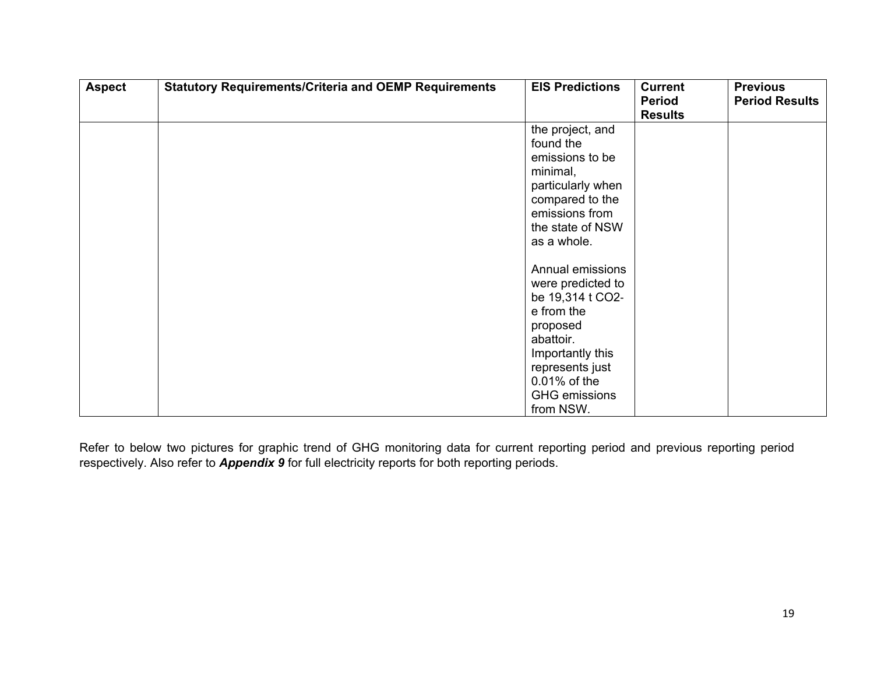| <b>Aspect</b> | <b>Statutory Requirements/Criteria and OEMP Requirements</b> | <b>EIS Predictions</b>                                                                                                                                                                                      | <b>Current</b><br><b>Period</b><br><b>Results</b> | <b>Previous</b><br><b>Period Results</b> |
|---------------|--------------------------------------------------------------|-------------------------------------------------------------------------------------------------------------------------------------------------------------------------------------------------------------|---------------------------------------------------|------------------------------------------|
|               |                                                              | the project, and<br>found the<br>emissions to be<br>minimal,<br>particularly when<br>compared to the<br>emissions from<br>the state of NSW                                                                  |                                                   |                                          |
|               |                                                              | as a whole.<br>Annual emissions<br>were predicted to<br>be 19,314 t CO2-<br>e from the<br>proposed<br>abattoir.<br>Importantly this<br>represents just<br>0.01% of the<br><b>GHG</b> emissions<br>from NSW. |                                                   |                                          |

Refer to below two pictures for graphic trend of GHG monitoring data for current reporting period and previous reporting period respectively. Also refer to *Appendix 9* for full electricity reports for both reporting periods.